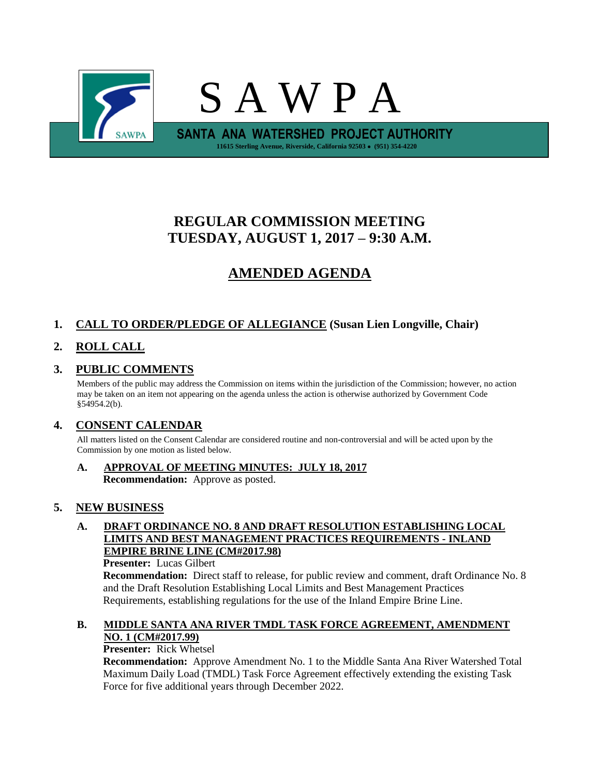

# **REGULAR COMMISSION MEETING TUESDAY, AUGUST 1, 2017 – 9:30 A.M.**

# **AMENDED AGENDA**

# **1. CALL TO ORDER/PLEDGE OF ALLEGIANCE (Susan Lien Longville, Chair)**

# **2. ROLL CALL**

# **3. PUBLIC COMMENTS**

Members of the public may address the Commission on items within the jurisdiction of the Commission; however, no action may be taken on an item not appearing on the agenda unless the action is otherwise authorized by Government Code §54954.2(b).

# **4. CONSENT CALENDAR**

All matters listed on the Consent Calendar are considered routine and non-controversial and will be acted upon by the Commission by one motion as listed below.

**A. APPROVAL OF MEETING MINUTES: JULY 18, 2017 Recommendation:** Approve as posted.

# **5. NEW BUSINESS**

**A. DRAFT ORDINANCE NO. 8 AND DRAFT RESOLUTION ESTABLISHING LOCAL LIMITS AND BEST MANAGEMENT PRACTICES REQUIREMENTS - INLAND EMPIRE BRINE LINE (CM#2017.98)**

**Presenter:** Lucas Gilbert

**Recommendation:** Direct staff to release, for public review and comment, draft Ordinance No. 8 and the Draft Resolution Establishing Local Limits and Best Management Practices Requirements, establishing regulations for the use of the Inland Empire Brine Line.

### **B. MIDDLE SANTA ANA RIVER TMDL TASK FORCE AGREEMENT, AMENDMENT NO. 1 (CM#2017.99)**

### **Presenter:** Rick Whetsel

**Recommendation:** Approve Amendment No. 1 to the Middle Santa Ana River Watershed Total Maximum Daily Load (TMDL) Task Force Agreement effectively extending the existing Task Force for five additional years through December 2022.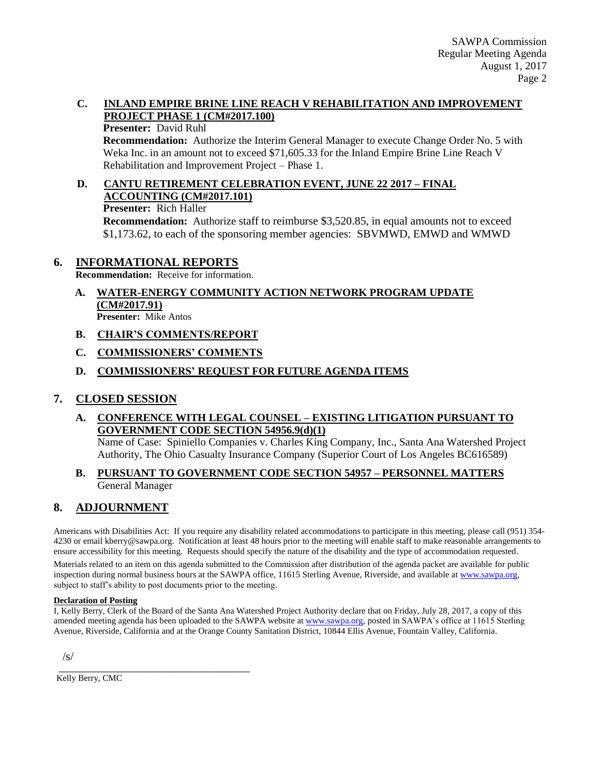### **C. INLAND EMPIRE BRINE LINE REACH V REHABILITATION AND IMPROVEMENT PROJECT PHASE 1 (CM#2017.100)**

#### **Presenter:** David Ruhl

**Recommendation:** Authorize the Interim General Manager to execute Change Order No. 5 with Weka Inc. in an amount not to exceed \$71,605.33 for the Inland Empire Brine Line Reach V Rehabilitation and Improvement Project – Phase 1.

# **D. CANTU RETIREMENT CELEBRATION EVENT, JUNE 22 2017 – FINAL ACCOUNTING (CM#2017.101)**

#### **Presenter:** Rich Haller

**Recommendation:** Authorize staff to reimburse \$3,520.85, in equal amounts not to exceed \$1,173.62, to each of the sponsoring member agencies: SBVMWD, EMWD and WMWD

## **6. INFORMATIONAL REPORTS**

**Recommendation:** Receive for information.

- **A. WATER-ENERGY COMMUNITY ACTION NETWORK PROGRAM UPDATE (CM#2017.91) Presenter:** Mike Antos
- **B. CHAIR'S COMMENTS/REPORT**
- **C. COMMISSIONERS' COMMENTS**

### **D. COMMISSIONERS' REQUEST FOR FUTURE AGENDA ITEMS**

# **7. CLOSED SESSION**

## **A. CONFERENCE WITH LEGAL COUNSEL – EXISTING LITIGATION PURSUANT TO GOVERNMENT CODE SECTION 54956.9(d)(1)**

Name of Case: Spiniello Companies v. Charles King Company, Inc., Santa Ana Watershed Project Authority, The Ohio Casualty Insurance Company (Superior Court of Los Angeles BC616589)

#### **B. PURSUANT TO GOVERNMENT CODE SECTION 54957 – PERSONNEL MATTERS** General Manager

# **8. ADJOURNMENT**

Americans with Disabilities Act: If you require any disability related accommodations to participate in this meeting, please call (951) 354- 4230 or email kberry@sawpa.org. Notification at least 48 hours prior to the meeting will enable staff to make reasonable arrangements to ensure accessibility for this meeting. Requests should specify the nature of the disability and the type of accommodation requested.

Materials related to an item on this agenda submitted to the Commission after distribution of the agenda packet are available for public inspection during normal business hours at the SAWPA office, 11615 Sterling Avenue, Riverside, and available a[t www.sawpa.org,](http://www.sawpa.org/) subject to staff's ability to post documents prior to the meeting.

#### **Declaration of Posting**

I, Kelly Berry, Clerk of the Board of the Santa Ana Watershed Project Authority declare that on Friday, July 28, 2017, a copy of this amended meeting agenda has been uploaded to the SAWPA website at [www.sawpa.org,](http://www.sawpa.org/) posted in SAWPA's office at 11615 Sterling Avenue, Riverside, California and at the Orange County Sanitation District, 10844 Ellis Avenue, Fountain Valley, California.

/s/

Kelly Berry, CMC

\_\_\_\_\_\_\_\_\_\_\_\_\_\_\_\_\_\_\_\_\_\_\_\_\_\_\_\_\_\_\_\_\_\_\_\_\_\_\_